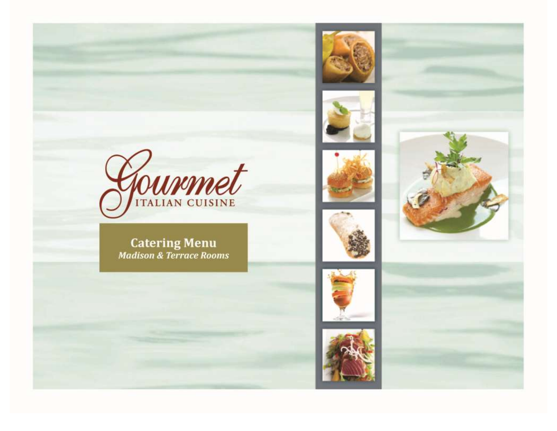

**Catering Menu**<br>Madison & Terrace Rooms















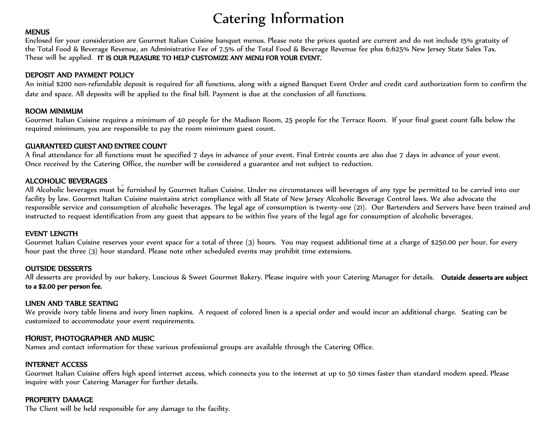# Catering Information

### **MENUS**

Enclosed for your consideration are Gourmet Italian Cuisine banquet menus. Please note the prices quoted are current and do not include 15% gratuity of the Total Food & Beverage Revenue, an Administrative Fee of 7.5% of the Total Food & Beverage Revenue fee plus 6.625% New Jersey State Sales Tax. These will be applied. IT IS OUR PLEASURE TO HELP CUSTOMIZE ANY MENU FOR YOUR EVENT.

### DEPOSIT AND PAYMENT POLICY

An initial \$200 non-refundable deposit is required for all functions, along with a signed Banquet Event Order and credit card authorization form to confirm the date and space. All deposits will be applied to the final bill. Payment is due at the conclusion of all functions.

### ROOM MINIMUM

Gourmet Italian Cuisine requires a minimum of 40 people for the Madison Room, 25 people for the Terrace Room. If your final guest count falls below the required minimum, you are responsible to pay the room minimum guest count.

### GUARANTEED GUEST AND ENTREE COUNT

A final attendance for all functions must be specified 7 days in advance of your event. Final Entrée counts are also due 7 days in advance of your event. Once received by the Catering Office, the number will be considered a guarantee and not subject to reduction.

### ALCOHOLIC BEVERAGES

All Alcoholic beverages must be furnished by Gourmet Italian Cuisine. Under no circumstances will beverages of any type be permitted to be carried into our facility by law. Gourmet Italian Cuisine maintains strict compliance with all State of New Jersey Alcoholic Beverage Control laws. We also advocate the responsible service and consumption of alcoholic beverages. The legal age of consumption is twenty-one (21). Our Bartenders and Servers have been trained and instructed to request identification from any guest that appears to be within five years of the legal age for consumption of alcoholic beverages.

### EVENT LENGTH

Gourmet Italian Cuisine reserves your event space for a total of three (3) hours. You may request additional time at a charge of \$250.00 per hour, for every hour past the three (3) hour standard. Please note other scheduled events may prohibit time extensions.

### OUTSIDE DESSERTS

All desserts are provided by our bakery, Luscious & Sweet Gourmet Bakery. Please inquire with your Catering Manager for details. Outside desserts are subject to a \$2.00 per person fee.

### LINEN AND TABLE SEATING

We provide ivory table linens and ivory linen napkins. A request of colored linen is a special order and would incur an additional charge. Seating can be customized to accommodate your event requirements.

### FlORIST, PHOTOGRAPHER AND MUSIC

Names and contact information for these various professional groups are available through the Catering Office.

### INTERNET ACCESS

Gourmet Italian Cuisine offers high speed internet access, which connects you to the internet at up to 50 times faster than standard modem speed. Please inquire with your Catering Manager for further details.

### PROPERTY DAMAGE

The Client will be held responsible for any damage to the facility.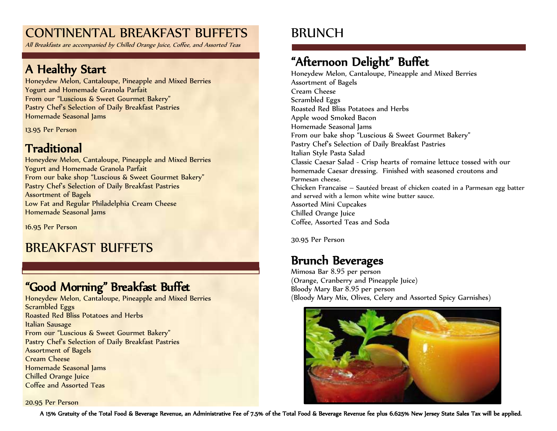# CONTINENTAL BREAKFAST BUFFETS

All Breakfasts are accompanied by Chilled Orange Juice, Coffee, and Assorted Teas

# A Healthy Start

Honeydew Melon, Cantaloupe, Pineapple and Mixed Berries Yogurt and Homemade Granola Parfait From our "Luscious & Sweet Gourmet Bakery" Pastry Chef's Selection of Daily Breakfast Pastries Homemade Seasonal Jams

13.95 Per Person

# Traditional

Honeydew Melon, Cantaloupe, Pineapple and Mixed Berries Yogurt and Homemade Granola Parfait From our bake shop "Luscious & Sweet Gourmet Bakery" Pastry Chef's Selection of Daily Breakfast Pastries Assortment of Bagels Low Fat and Regular Philadelphia Cream Cheese Homemade Seasonal Jams

16.95 Per Person

# BREAKFAST BUFFETS

# "Good Morning" Breakfast Buffet

Honeydew Melon, Cantaloupe, Pineapple and Mixed Berries Scrambled Eggs Roasted Red Bliss Potatoes and Herbs Italian Sausage From our "Luscious & Sweet Gourmet Bakery" Pastry Chef's Selection of Daily Breakfast Pastries Assortment of Bagels Cream Cheese Homemade Seasonal Jams Chilled Orange Juice Coffee and Assorted Teas

#### 20.95 Per Person

# BRUNCH

# "Afternoon Delight" Buffet

Honeydew Melon, Cantaloupe, Pineapple and Mixed Berries Assortment of Bagels Cream Cheese Scrambled Eggs Roasted Red Bliss Potatoes and Herbs Apple wood Smoked Bacon Homemade Seasonal Jams From our bake shop "Luscious & Sweet Gourmet Bakery" Pastry Chef's Selection of Daily Breakfast Pastries Italian Style Pasta Salad Classic Caesar Salad - Crisp hearts of romaine lettuce tossed with our homemade Caesar dressing. Finished with seasoned croutons and Parmesan cheese. Chicken Francaise – Sautéed breast of chicken coated in a Parmesan egg batter and served with a lemon white wine butter sauce. Assorted Mini Cupcakes Chilled Orange Juice Coffee, Assorted Teas and Soda

30.95 Per Person

# Brunch Beverages

Mimosa Bar 8.95 per person (Orange, Cranberry and Pineapple Juice) Bloody Mary Bar 8.95 per person (Bloody Mary Mix, Olives, Celery and Assorted Spicy Garnishes)



A 15% Gratuity of the Total Food & Beverage Revenue, an Administrative Fee of 7.5% of the Total Food & Beverage Revenue fee plus 6.625% New Jersey State Sales Tax will be applied.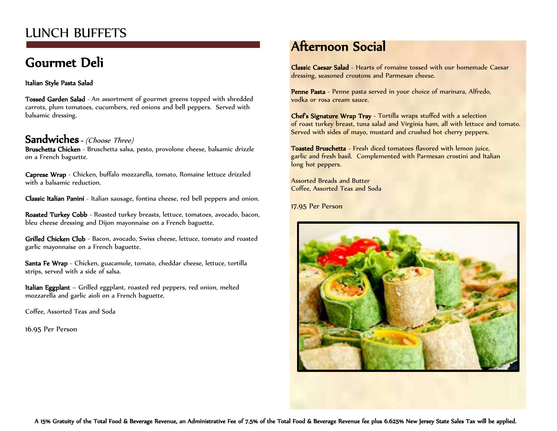# LUNCH BUFFETS

# Gourmet Deli

### Italian Style Pasta Salad

Tossed Garden Salad - An assortment of gourmet greens topped with shredded carrots, plum tomatoes, cucumbers, red onions and bell peppers. Served with balsamic dressing.

### Sandwiches - (Choose Three)

Bruschetta Chicken - Bruschetta salsa, pesto, provolone cheese, balsamic drizzle on a French baguette.

Caprese Wrap - Chicken, buffalo mozzarella, tomato, Romaine lettuce drizzled with a balsamic reduction.

Classic Italian Panini - Italian sausage, fontina cheese, red bell peppers and onion.

Roasted Turkey Cobb - Roasted turkey breasts, lettuce, tomatoes, avocado, bacon, bleu cheese dressing and Dijon mayonnaise on a French baguette.

Grilled Chicken Club - Bacon, avocado, Swiss cheese, lettuce, tomato and roasted garlic mayonnaise on a French baguette.

Santa Fe Wrap - Chicken, guacamole, tomato, cheddar cheese, lettuce, tortilla strips, served with a side of salsa.

Italian Eggplant – Grilled eggplant, roasted red peppers, red onion, melted mozzarella and garlic aioli on a French baguette.

Coffee, Assorted Teas and Soda

16.95 Per Person

# Afternoon Social

Classic Caesar Salad - Hearts of romaine tossed with our homemade Caesar dressing, seasoned croutons and Parmesan cheese.

Penne Pasta - Penne pasta served in your choice of marinara, Alfredo, vodka or rosa cream sauce.

Chef's Signature Wrap Tray - Tortilla wraps stuffed with a selection of roast turkey breast, tuna salad and Virginia ham, all with lettuce and tomato. Served with sides of mayo, mustard and crushed hot cherry peppers.

Toasted Bruschetta - Fresh diced tomatoes flavored with lemon juice, garlic and fresh basil. Complemented with Parmesan crostini and Italian long hot peppers.

Assorted Breads and Butter Coffee, Assorted Teas and Soda

17.95 Per Person

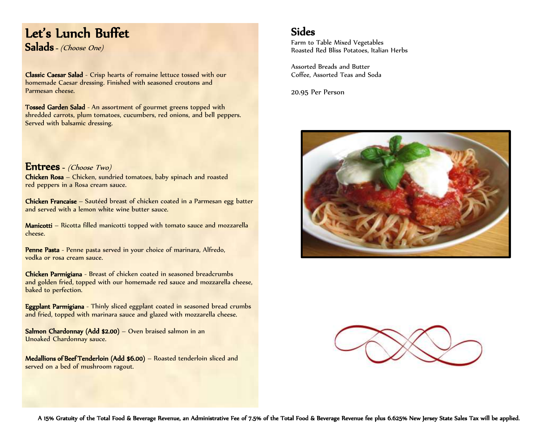## Let's Lunch Buffet Salads - (Choose One)

Classic Caesar Salad - Crisp hearts of romaine lettuce tossed with our homemade Caesar dressing. Finished with seasoned croutons and Parmesan cheese.

Tossed Garden Salad - An assortment of gourmet greens topped with shredded carrots, plum tomatoes, cucumbers, red onions, and bell peppers. Served with balsamic dressing.

Entrees - (Choose Two) Chicken Rosa – Chicken, sundried tomatoes, baby spinach and roasted red peppers in a Rosa cream sauce.

Chicken Francaise – Sautéed breast of chicken coated in a Parmesan egg batter and served with a lemon white wine butter sauce.

Manicotti – Ricotta filled manicotti topped with tomato sauce and mozzarella cheese.

Penne Pasta - Penne pasta served in your choice of marinara, Alfredo, vodka or rosa cream sauce.

Chicken Parmigiana - Breast of chicken coated in seasoned breadcrumbs and golden fried, topped with our homemade red sauce and mozzarella cheese, baked to perfection.

Eggplant Parmigiana - Thinly sliced eggplant coated in seasoned bread crumbs and fried, topped with marinara sauce and glazed with mozzarella cheese.

Salmon Chardonnay (Add \$2.00) – Oven braised salmon in an Unoaked Chardonnay sauce.

Medallions of Beef Tenderloin (Add \$6.00) - Roasted tenderloin sliced and served on a bed of mushroom ragout.

### Sides

Farm to Table Mixed Vegetables Roasted Red Bliss Potatoes, Italian Herbs

Assorted Breads and Butter Coffee, Assorted Teas and Soda

20.95 Per Person



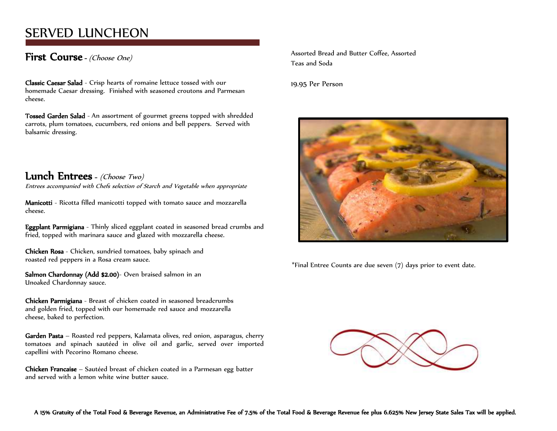# SERVED LUNCHEON

### First Course - (Choose One)

Classic Caesar Salad - Crisp hearts of romaine lettuce tossed with our homemade Caesar dressing. Finished with seasoned croutons and Parmesan cheese.

Tossed Garden Salad - An assortment of gourmet greens topped with shredded carrots, plum tomatoes, cucumbers, red onions and bell peppers. Served with balsamic dressing.

### Lunch Entrees - (Choose Two)

Entrees accompanied with Chefs selection of Starch and Vegetable when appropriate

Manicotti - Ricotta filled manicotti topped with tomato sauce and mozzarella cheese.

Eggplant Parmigiana - Thinly sliced eggplant coated in seasoned bread crumbs and fried, topped with marinara sauce and glazed with mozzarella cheese.

Chicken Rosa - Chicken, sundried tomatoes, baby spinach and roasted red peppers in a Rosa cream sauce.

Salmon Chardonnay (Add \$2.00)- Oven braised salmon in an Unoaked Chardonnay sauce.

Chicken Parmigiana - Breast of chicken coated in seasoned breadcrumbs and golden fried, topped with our homemade red sauce and mozzarella cheese, baked to perfection.

Garden Pasta – Roasted red peppers, Kalamata olives, red onion, asparagus, cherry tomatoes and spinach sautéed in olive oil and garlic, served over imported capellini with Pecorino Romano cheese.

Chicken Francaise – Sautéed breast of chicken coated in a Parmesan egg batter and served with a lemon white wine butter sauce.

Assorted Bread and Butter Coffee, Assorted Teas and Soda

19.95 Per Person



\*Final Entree Counts are due seven (7) days prior to event date.

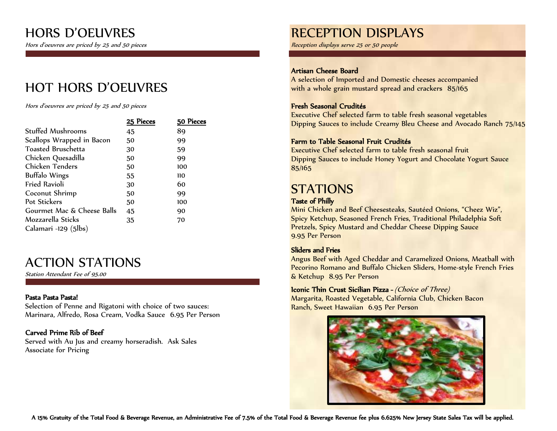Hors d'oeuvres are priced by 25 and 50 pieces

# HOT HORS D'OEUVRES

Hors d'oeuvres are priced by 25 and 50 pieces

|                            | 25 Pieces | 50 Pieces |
|----------------------------|-----------|-----------|
| <b>Stuffed Mushrooms</b>   | 45        | 89        |
| Scallops Wrapped in Bacon  | 50        | 99        |
| <b>Toasted Bruschetta</b>  | 30        | 59        |
| Chicken Quesadilla         | 50        | 99        |
| Chicken Tenders            | 50        | 100       |
| <b>Buffalo Wings</b>       | 55        | 110       |
| <b>Fried Ravioli</b>       | 30        | 60        |
| Coconut Shrimp             | 50        | 99        |
| Pot Stickers               | 50        | 100       |
| Gourmet Mac & Cheese Balls | 45        | 90        |
| Mozzarella Sticks          | 35        | 70        |
| Calamari -129 (5lbs)       |           |           |

# ACTION STATIONS

Station Attendant Fee of 95.00

### Pasta Pasta Pasta!

Selection of Penne and Rigatoni with choice of two sauces: Marinara, Alfredo, Rosa Cream, Vodka Sauce 6.95 Per Person

### Carved Prime Rib of Beef

Served with Au Jus and creamy horseradish. Ask Sales Associate for Pricing

# RECEPTION DISPLAYS

Reception displays serve 25 or 50 people

### Artisan Cheese Board

A selection of Imported and Domestic cheeses accompanied with a whole grain mustard spread and crackers 85/165

### Fresh Seasonal Crudités

Executive Chef selected farm to table fresh seasonal vegetables Dipping Sauces to include Creamy Bleu Cheese and Avocado Ranch 75/145

### Farm to Table Seasonal Fruit Crudités

Executive Chef selected farm to table fresh seasonal fruit Dipping Sauces to include Honey Yogurt and Chocolate Yogurt Sauce 85/165

# **STATIONS**

### Taste of Philly

Mini Chicken and Beef Cheesesteaks, Sautéed Onions, "Cheez Wiz", Spicy Ketchup, Seasoned French Fries, Traditional Philadelphia Soft Pretzels, Spicy Mustard and Cheddar Cheese Dipping Sauce 9.95 Per Person

### Sliders and Fries

Angus Beef with Aged Cheddar and Caramelized Onions, Meatball with Pecorino Romano and Buffalo Chicken Sliders, Home-style French Fries & Ketchup 8.95 Per Person

### Iconic Thin Crust Sicilian Pizza - (Choice of Three)

Margarita, Roasted Vegetable, California Club, Chicken Bacon Ranch, Sweet Hawaiian 6.95 Per Person

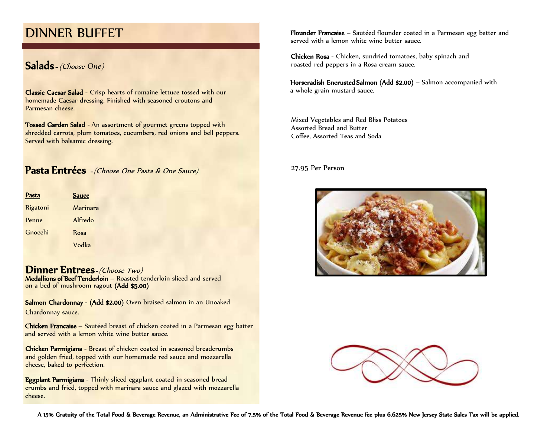## DINNER BUFFET

## Salads - (Choose *One*)

Classic Caesar Salad - Crisp hearts of romaine lettuce tossed with our homemade Caesar dressing. Finished with seasoned croutons and Parmesan cheese.

Tossed Garden Salad - An assortment of gourmet greens topped with shredded carrots, plum tomatoes, cucumbers, red onions and bell peppers. Served with balsamic dressing.

Pasta Entrées - (Choose One Pasta & One Sauce)

| Pasta    | <b>Sauce</b> |
|----------|--------------|
| Rigatoni | Marinara     |
| Penne    | Alfredo      |
| Gnocchi  | Rosa         |
|          | Vodka        |

Dinner Entrees-(Choose Two) Medallions of Beef Tenderloin – Roasted tenderloin sliced and served on a bed of mushroom ragout (Add \$5.00)

Salmon Chardonnay - (Add \$2.00) Oven braised salmon in an Unoaked Chardonnay sauce.

Chicken Francaise – Sautéed breast of chicken coated in a Parmesan egg batter and served with a lemon white wine butter sauce.

Chicken Parmigiana - Breast of chicken coated in seasoned breadcrumbs and golden fried, topped with our homemade red sauce and mozzarella cheese, baked to perfection.

Eggplant Parmigiana - Thinly sliced eggplant coated in seasoned bread crumbs and fried, topped with marinara sauce and glazed with mozzarella cheese.

Flounder Francaise – Sautéed flounder coated in a Parmesan egg batter and served with a lemon white wine butter sauce.

Chicken Rosa - Chicken, sundried tomatoes, baby spinach and roasted red peppers in a Rosa cream sauce.

Horseradish Encrusted Salmon (Add \$2.00) – Salmon accompanied with a whole grain mustard sauce.

Mixed Vegetables and Red Bliss Potatoes Assorted Bread and Butter Coffee, Assorted Teas and Soda

27.95 Per Person



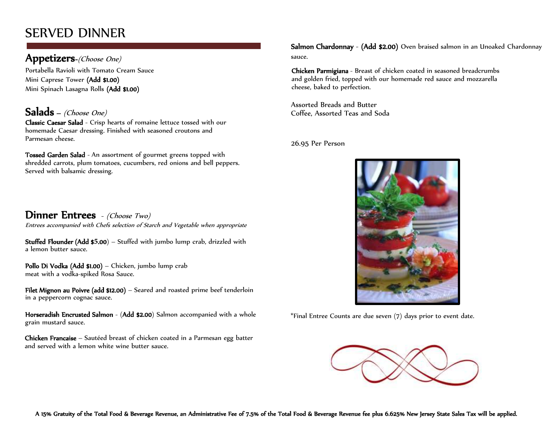# SERVED DINNER

### Appetizers-(Choose One)

Portabella Ravioli with Tomato Cream Sauce Mini Caprese Tower (Add \$1.00) Mini Spinach Lasagna Rolls (Add \$1.00)

## Salads - (Choose One)

Classic Caesar Salad - Crisp hearts of romaine lettuce tossed with our homemade Caesar dressing. Finished with seasoned croutons and Parmesan cheese.

Tossed Garden Salad - An assortment of gourmet greens topped with shredded carrots, plum tomatoes, cucumbers, red onions and bell peppers. Served with balsamic dressing.

Dinner Entrees - (Choose Two) Entrees accompanied with Chefs selection of Starch and Vegetable when appropriate

Stuffed Flounder (Add \$**5**.00) – Stuffed with jumbo lump crab, drizzled with a lemon butter sauce.

Pollo Di Vodka (Add \$1.00) – Chicken, jumbo lump crab meat with a vodka-spiked Rosa Sauce.

Filet Mignon au Poivre (add \$12.00) – Seared and roasted prime beef tenderloin in a peppercorn cognac sauce.

Horseradish Encrusted Salmon - (Add \$2.00) Salmon accompanied with a whole grain mustard sauce.

Chicken Francaise – Sautéed breast of chicken coated in a Parmesan egg batter and served with a lemon white wine butter sauce.

Salmon Chardonnay - (Add \$2.00) Oven braised salmon in an Unoaked Chardonnay sauce.

Chicken Parmigiana - Breast of chicken coated in seasoned breadcrumbs and golden fried, topped with our homemade red sauce and mozzarella cheese, baked to perfection.

Assorted Breads and Butter Coffee, Assorted Teas and Soda

26.95 Per Person



\*Final Entree Counts are due seven (7) days prior to event date.

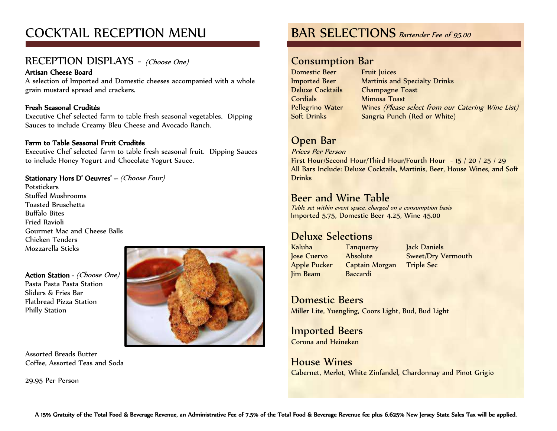# COCKTAIL RECEPTION MENU

## RECEPTION DISPLAYS - (Choose One)

### Artisan Cheese Board

A selection of Imported and Domestic cheeses accompanied with a whole grain mustard spread and crackers.

### Fresh Seasonal Crudités

Executive Chef selected farm to table fresh seasonal vegetables. Dipping Sauces to include Creamy Bleu Cheese and Avocado Ranch.

### Farm to Table Seasonal Fruit Crudités

Executive Chef selected farm to table fresh seasonal fruit. Dipping Sauces to include Honey Yogurt and Chocolate Yogurt Sauce.

### Stationary Hors D' Oeuvres' – (Choose Four)

Potstickers Stuffed Mushrooms Toasted Bruschetta Buffalo Bites Fried Ravioli Gourmet Mac and Cheese Balls Chicken Tenders Mozzarella Sticks

Action Station - (Choose One) Pasta Pasta Pasta Station Sliders & Fries Bar Flatbread Pizza Station Philly Station



Assorted Breads Butter Coffee, Assorted Teas and Soda

29.95 Per Person

## BAR SELECTIONS Bartender Fee of 95.00

### Consumption Bar

Domestic Beer Imported Beer Deluxe Cocktails **Cordials** Pellegrino Water Soft Drinks

Fruit Juices Martinis and Specialty Drinks Champagne Toast Mimosa Toast Wines (Please select from our Catering Wine List) Sangria Punch (Red or White)

## Open Bar

Prices Per Person

First Hour/Second Hour/Third Hour/Fourth Hour - 15 / 20 / 25 / 29 All Bars Include: Deluxe Cocktails, Martinis, Beer, House Wines, and Soft **Drinks** 

## Beer and Wine Table

Table set within event space, charged on a consumption basis Imported 5.75, Domestic Beer 4.25, Wine 45.00

## Deluxe Selections

Kaluha Jose Cuervo Apple Pucker Jim Beam **Tanqueray** Absolute Captain Morgan Baccardi

Jack Daniels Sweet/Dry Vermouth Triple Sec

Domestic Beers Miller Lite, Yuengling, Coors Light, Bud, Bud Light

Imported Beers Corona and Heineken

House Wines Cabernet, Merlot, White Zinfandel, Chardonnay and Pinot Grigio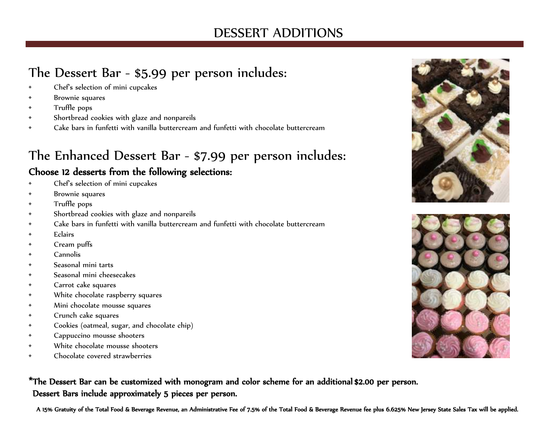# DESSERT ADDITIONS

# The Dessert Bar - \$5.99 per person includes:

- Chef's selection of mini cupcakes
- Brownie squares
- Truffle pops
- Shortbread cookies with glaze and nonpareils
- Cake bars in funfetti with vanilla buttercream and funfetti with chocolate buttercream

# The Enhanced Dessert Bar - \$7.99 per person includes:

## Choose 12 desserts from the following selections:

- Chef's selection of mini cupcakes
- Brownie squares
- Truffle pops
- Shortbread cookies with glaze and nonpareils
- Cake bars in funfetti with vanilla buttercream and funfetti with chocolate buttercream
- Eclairs
- Cream puffs
- Cannolis
- Seasonal mini tarts
- Seasonal mini cheesecakes
- Carrot cake squares
- White chocolate raspberry squares
- Mini chocolate mousse squares
- Crunch cake squares
- Cookies (oatmeal, sugar, and chocolate chip)
- Cappuccino mousse shooters
- White chocolate mousse shooters
- Chocolate covered strawberries

\*The Dessert Bar can be customized with monogram and color scheme for an additional \$2.00 per person. Dessert Bars include approximately 5 pieces per person.

A 15% Gratuity of the Total Food & Beverage Revenue, an Administrative Fee of 7.5% of the Total Food & Beverage Revenue fee plus 6.625% New Jersey State Sales Tax will be applied.